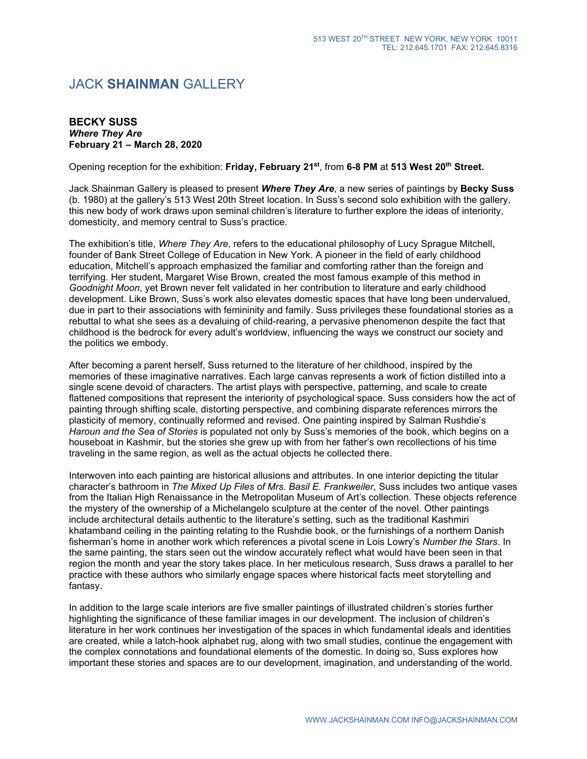## JACK **SHAINMAN** GALLERY

## **BECKY SUSS** *Where They Are* **February 21 – March 28, 2020**

Opening reception for the exhibition: **Friday, February 21st**, from **6-8 PM** at **513 West 20th Street.**

Jack Shainman Gallery is pleased to present *Where They Are*, a new series of paintings by **Becky Suss** (b. 1980) at the gallery's 513 West 20th Street location. In Suss's second solo exhibition with the gallery, this new body of work draws upon seminal children's literature to further explore the ideas of interiority, domesticity, and memory central to Suss's practice.

The exhibition's title, *Where They Are*, refers to the educational philosophy of Lucy Sprague Mitchell, founder of Bank Street College of Education in New York. A pioneer in the field of early childhood education, Mitchell's approach emphasized the familiar and comforting rather than the foreign and terrifying. Her student, Margaret Wise Brown, created the most famous example of this method in *Goodnight Moon*, yet Brown never felt validated in her contribution to literature and early childhood development. Like Brown, Suss's work also elevates domestic spaces that have long been undervalued, due in part to their associations with femininity and family. Suss privileges these foundational stories as a rebuttal to what she sees as a devaluing of child-rearing, a pervasive phenomenon despite the fact that childhood is the bedrock for every adult's worldview, influencing the ways we construct our society and the politics we embody.

After becoming a parent herself, Suss returned to the literature of her childhood, inspired by the memories of these imaginative narratives. Each large canvas represents a work of fiction distilled into a single scene devoid of characters. The artist plays with perspective, patterning, and scale to create flattened compositions that represent the interiority of psychological space. Suss considers how the act of painting through shifting scale, distorting perspective, and combining disparate references mirrors the plasticity of memory, continually reformed and revised. One painting inspired by Salman Rushdie's *Haroun and the Sea of Stories* is populated not only by Suss's memories of the book, which begins on a houseboat in Kashmir, but the stories she grew up with from her father's own recollections of his time traveling in the same region, as well as the actual objects he collected there.

Interwoven into each painting are historical allusions and attributes. In one interior depicting the titular character's bathroom in *The Mixed Up Files of Mrs. Basil E. Frankweiler*, Suss includes two antique vases from the Italian High Renaissance in the Metropolitan Museum of Art's collection. These objects reference the mystery of the ownership of a Michelangelo sculpture at the center of the novel. Other paintings include architectural details authentic to the literature's setting, such as the traditional Kashmiri khatamband ceiling in the painting relating to the Rushdie book, or the furnishings of a northern Danish fisherman's home in another work which references a pivotal scene in Lois Lowry's *Number the Stars*. In the same painting, the stars seen out the window accurately reflect what would have been seen in that region the month and year the story takes place. In her meticulous research, Suss draws a parallel to her practice with these authors who similarly engage spaces where historical facts meet storytelling and fantasy.

In addition to the large scale interiors are five smaller paintings of illustrated children's stories further highlighting the significance of these familiar images in our development. The inclusion of children's literature in her work continues her investigation of the spaces in which fundamental ideals and identities are created, while a latch-hook alphabet rug, along with two small studies, continue the engagement with the complex connotations and foundational elements of the domestic. In doing so, Suss explores how important these stories and spaces are to our development, imagination, and understanding of the world.